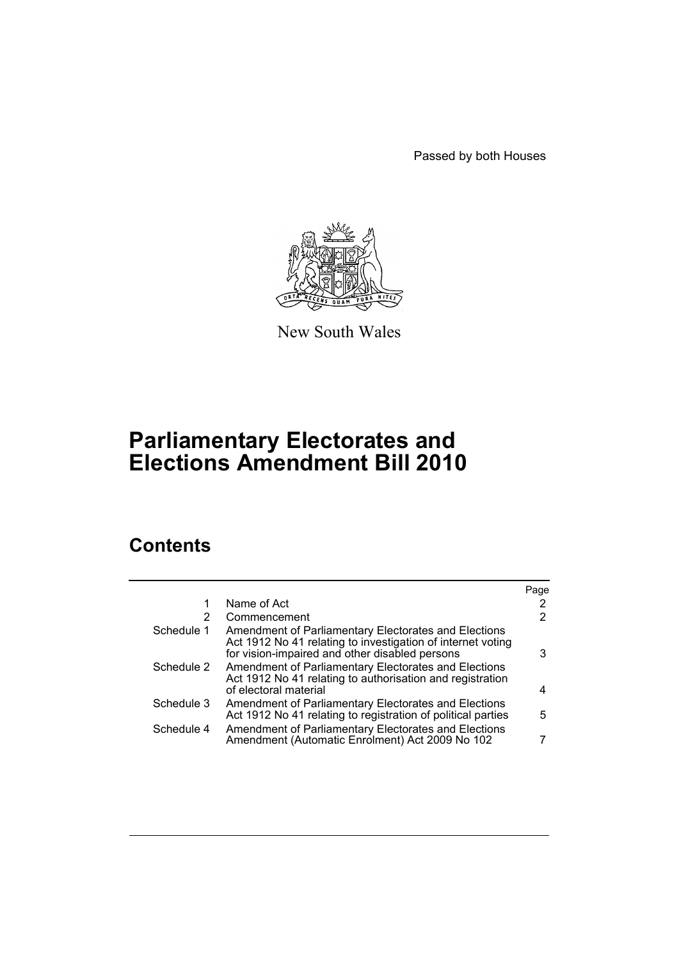Passed by both Houses



New South Wales

# **Parliamentary Electorates and Elections Amendment Bill 2010**

# **Contents**

|                                                                                                                                                                       | Page                                                 |
|-----------------------------------------------------------------------------------------------------------------------------------------------------------------------|------------------------------------------------------|
| Name of Act                                                                                                                                                           | 2                                                    |
| Commencement                                                                                                                                                          | 2                                                    |
| Amendment of Parliamentary Electorates and Elections<br>Act 1912 No 41 relating to investigation of internet voting<br>for vision-impaired and other disabled persons | 3                                                    |
| Act 1912 No 41 relating to authorisation and registration<br>of electoral material                                                                                    | 4                                                    |
| Amendment of Parliamentary Electorates and Elections<br>Act 1912 No 41 relating to registration of political parties                                                  | 5                                                    |
| Amendment of Parliamentary Electorates and Elections<br>Amendment (Automatic Enrolment) Act 2009 No 102                                                               |                                                      |
|                                                                                                                                                                       | Amendment of Parliamentary Electorates and Elections |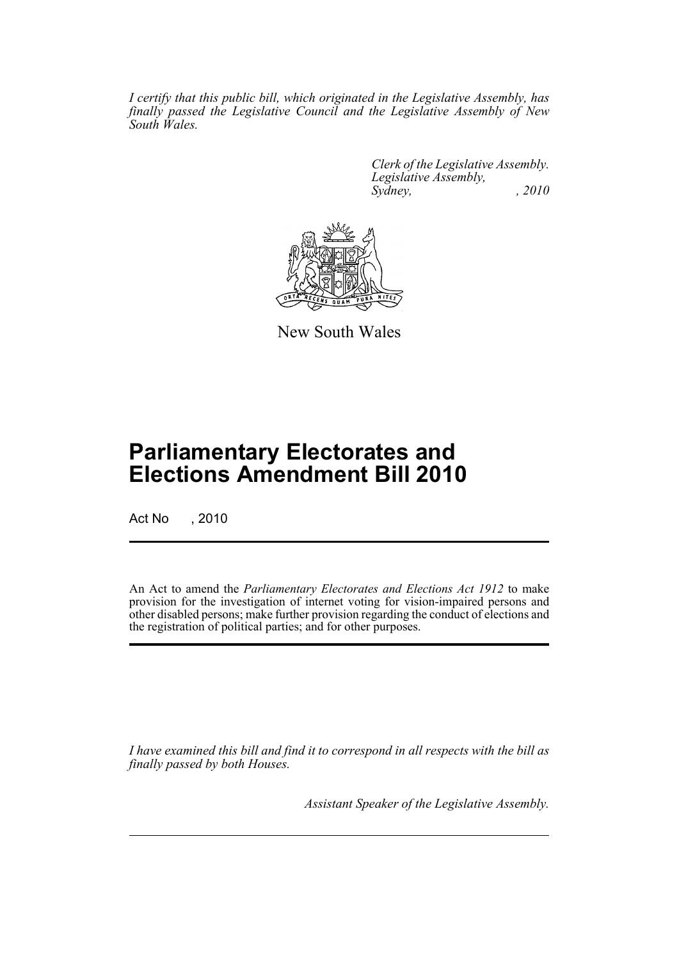*I certify that this public bill, which originated in the Legislative Assembly, has finally passed the Legislative Council and the Legislative Assembly of New South Wales.*

> *Clerk of the Legislative Assembly. Legislative Assembly, Sydney, , 2010*



New South Wales

# **Parliamentary Electorates and Elections Amendment Bill 2010**

Act No , 2010

An Act to amend the *Parliamentary Electorates and Elections Act 1912* to make provision for the investigation of internet voting for vision-impaired persons and other disabled persons; make further provision regarding the conduct of elections and the registration of political parties; and for other purposes.

*I have examined this bill and find it to correspond in all respects with the bill as finally passed by both Houses.*

*Assistant Speaker of the Legislative Assembly.*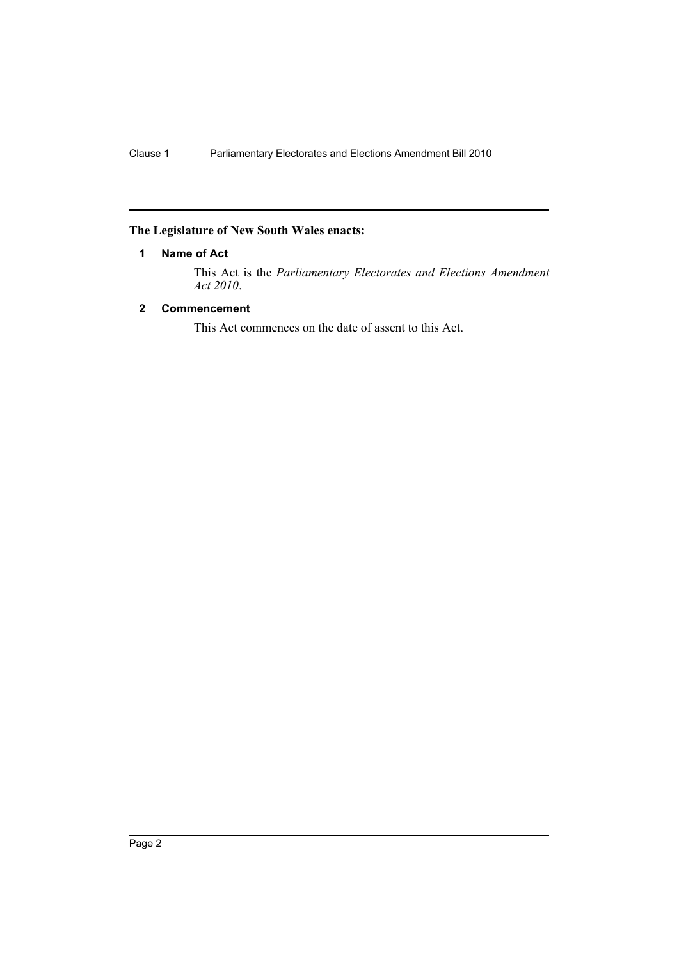## <span id="page-2-0"></span>**The Legislature of New South Wales enacts:**

## **1 Name of Act**

This Act is the *Parliamentary Electorates and Elections Amendment Act 2010*.

## <span id="page-2-1"></span>**2 Commencement**

This Act commences on the date of assent to this Act.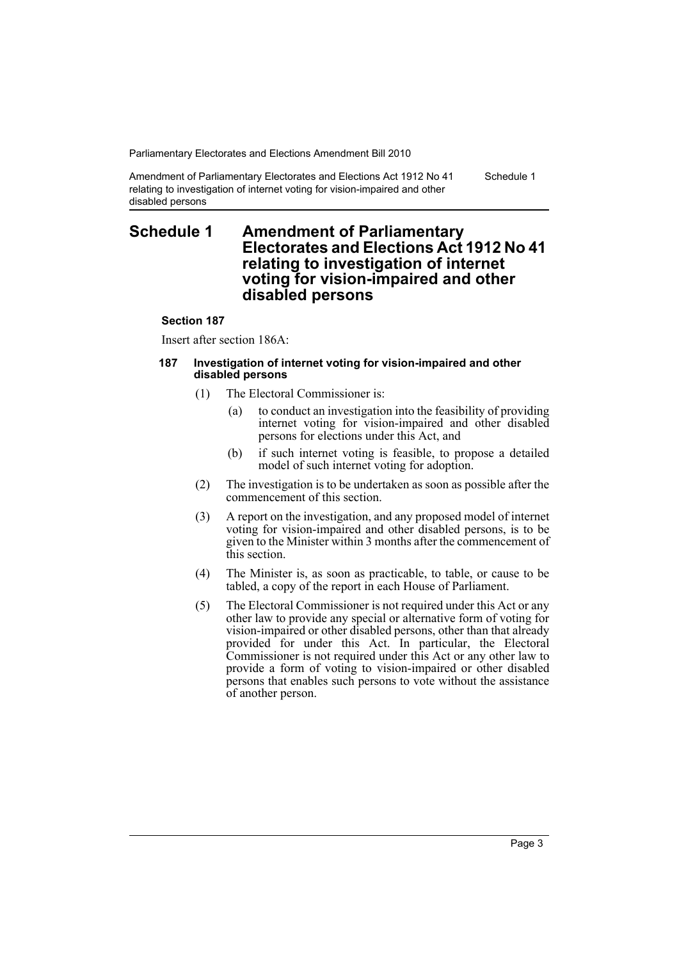Schedule 1

Amendment of Parliamentary Electorates and Elections Act 1912 No 41 relating to investigation of internet voting for vision-impaired and other disabled persons

# <span id="page-3-0"></span>**Schedule 1 Amendment of Parliamentary Electorates and Elections Act 1912 No 41 relating to investigation of internet voting for vision-impaired and other disabled persons**

### **Section 187**

Insert after section 186A:

#### **187 Investigation of internet voting for vision-impaired and other disabled persons**

- (1) The Electoral Commissioner is:
	- (a) to conduct an investigation into the feasibility of providing internet voting for vision-impaired and other disabled persons for elections under this Act, and
	- (b) if such internet voting is feasible, to propose a detailed model of such internet voting for adoption.
- (2) The investigation is to be undertaken as soon as possible after the commencement of this section.
- (3) A report on the investigation, and any proposed model of internet voting for vision-impaired and other disabled persons, is to be given to the Minister within 3 months after the commencement of this section.
- (4) The Minister is, as soon as practicable, to table, or cause to be tabled, a copy of the report in each House of Parliament.
- (5) The Electoral Commissioner is not required under this Act or any other law to provide any special or alternative form of voting for vision-impaired or other disabled persons, other than that already provided for under this Act. In particular, the Electoral Commissioner is not required under this Act or any other law to provide a form of voting to vision-impaired or other disabled persons that enables such persons to vote without the assistance of another person.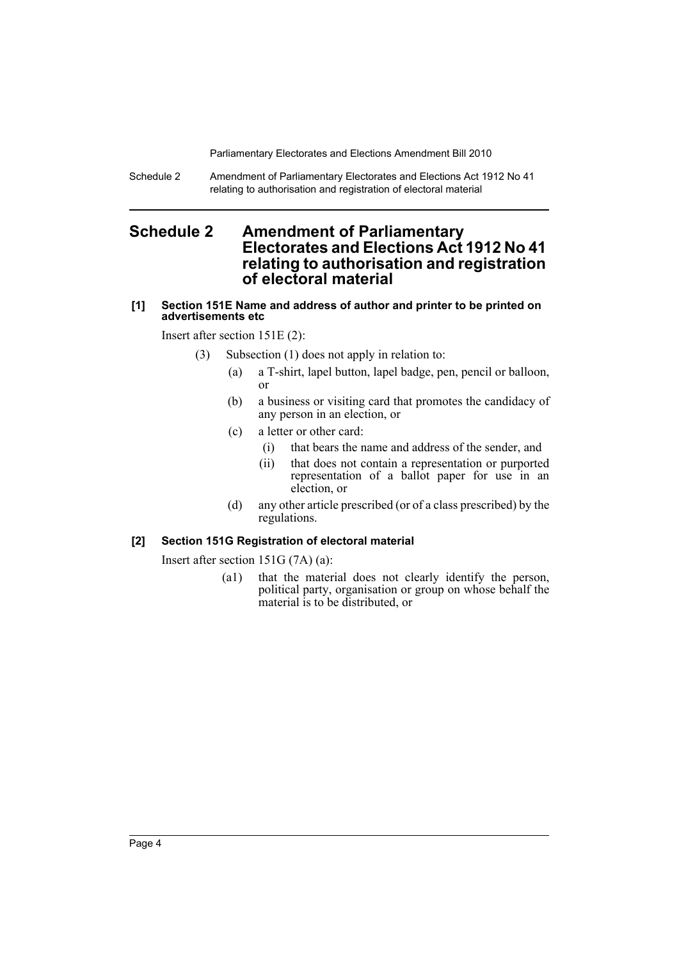Schedule 2 Amendment of Parliamentary Electorates and Elections Act 1912 No 41 relating to authorisation and registration of electoral material

# <span id="page-4-0"></span>**Schedule 2 Amendment of Parliamentary Electorates and Elections Act 1912 No 41 relating to authorisation and registration of electoral material**

## **[1] Section 151E Name and address of author and printer to be printed on advertisements etc**

Insert after section 151E (2):

- (3) Subsection (1) does not apply in relation to:
	- (a) a T-shirt, lapel button, lapel badge, pen, pencil or balloon, or
	- (b) a business or visiting card that promotes the candidacy of any person in an election, or
	- (c) a letter or other card:
		- (i) that bears the name and address of the sender, and
		- (ii) that does not contain a representation or purported representation of a ballot paper for use in an election, or
	- (d) any other article prescribed (or of a class prescribed) by the regulations.

## **[2] Section 151G Registration of electoral material**

Insert after section 151G (7A) (a):

(a1) that the material does not clearly identify the person, political party, organisation or group on whose behalf the material is to be distributed, or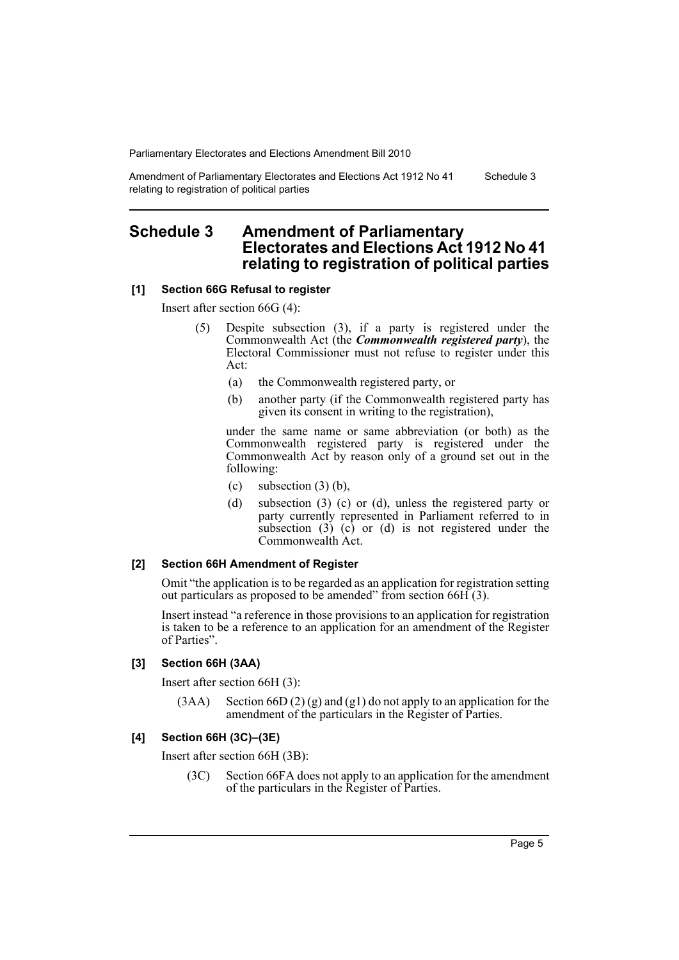Amendment of Parliamentary Electorates and Elections Act 1912 No 41 relating to registration of political parties Schedule 3

# <span id="page-5-0"></span>**Schedule 3 Amendment of Parliamentary Electorates and Elections Act 1912 No 41 relating to registration of political parties**

#### **[1] Section 66G Refusal to register**

Insert after section 66G (4):

- (5) Despite subsection (3), if a party is registered under the Commonwealth Act (the *Commonwealth registered party*), the Electoral Commissioner must not refuse to register under this Act:
	- (a) the Commonwealth registered party, or
	- (b) another party (if the Commonwealth registered party has given its consent in writing to the registration),

under the same name or same abbreviation (or both) as the Commonwealth registered party is registered under the Commonwealth Act by reason only of a ground set out in the following:

- (c) subsection  $(3)$  (b),
- (d) subsection (3) (c) or (d), unless the registered party or party currently represented in Parliament referred to in subsection  $(3)$   $(c)$  or  $(d)$  is not registered under the Commonwealth Act.

### **[2] Section 66H Amendment of Register**

Omit "the application is to be regarded as an application for registration setting out particulars as proposed to be amended" from section 66H (3).

Insert instead "a reference in those provisions to an application for registration is taken to be a reference to an application for an amendment of the Register of Parties".

#### **[3] Section 66H (3AA)**

Insert after section 66H (3):

 $(3AA)$  Section 66D  $(2)$  (g) and (g1) do not apply to an application for the amendment of the particulars in the Register of Parties.

### **[4] Section 66H (3C)–(3E)**

Insert after section 66H (3B):

(3C) Section 66FA does not apply to an application for the amendment of the particulars in the Register of Parties.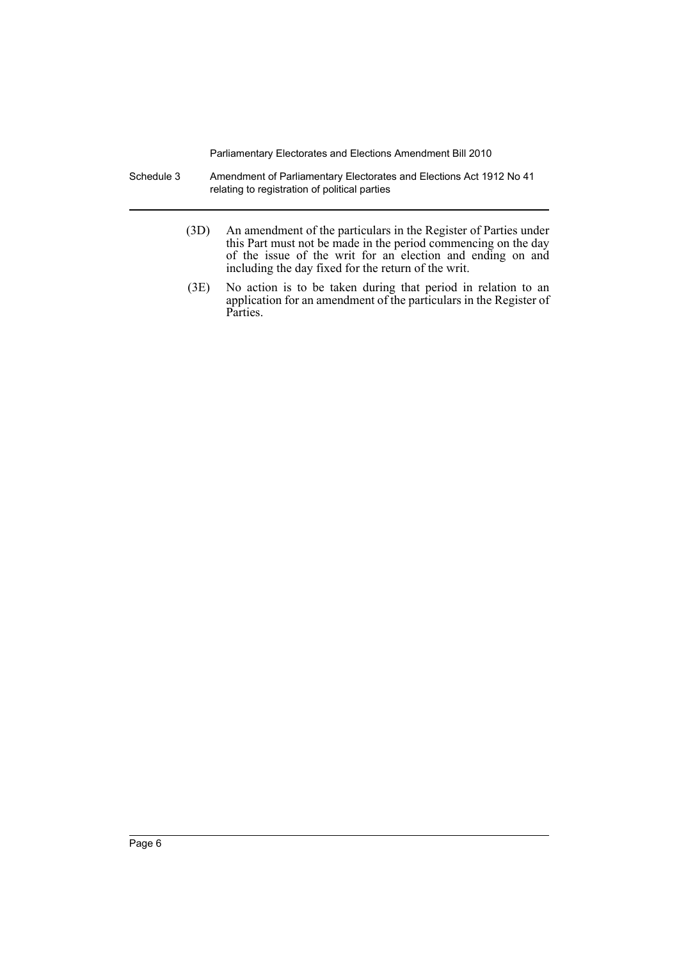- Schedule 3 Amendment of Parliamentary Electorates and Elections Act 1912 No 41 relating to registration of political parties
	- (3D) An amendment of the particulars in the Register of Parties under this Part must not be made in the period commencing on the day of the issue of the writ for an election and ending on and including the day fixed for the return of the writ.
	- (3E) No action is to be taken during that period in relation to an application for an amendment of the particulars in the Register of Parties.